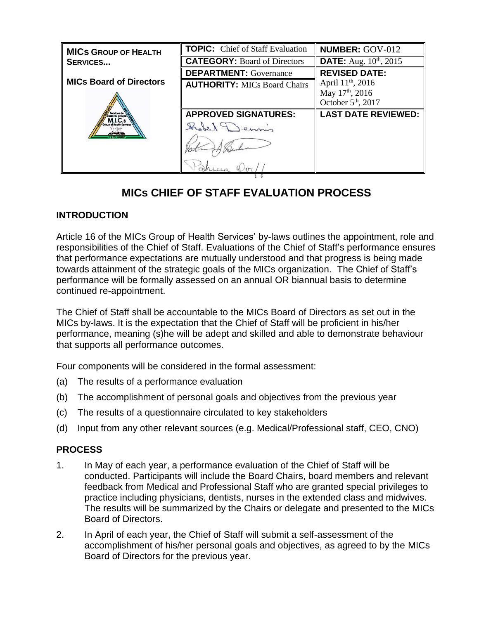| <b>MICS GROUP OF HEALTH</b>    | <b>TOPIC:</b> Chief of Staff Evaluation | <b>NUMBER: GOV-012</b>         |
|--------------------------------|-----------------------------------------|--------------------------------|
| <b>SERVICES</b>                | <b>CATEGORY: Board of Directors</b>     | <b>DATE:</b> Aug. 10th, 2015   |
|                                | <b>DEPARTMENT:</b> Governance           | <b>REVISED DATE:</b>           |
| <b>MICs Board of Directors</b> | <b>AUTHORITY: MICs Board Chairs</b>     | April 11 <sup>th</sup> , 2016  |
|                                |                                         | May 17 <sup>th</sup> , 2016    |
|                                |                                         | October 5 <sup>th</sup> , 2017 |
|                                | <b>APPROVED SIGNATURES:</b>             | <b>LAST DATE REVIEWED:</b>     |
|                                |                                         |                                |
|                                |                                         |                                |
|                                |                                         |                                |

## **MICs CHIEF OF STAFF EVALUATION PROCESS**

## **INTRODUCTION**

Article 16 of the MICs Group of Health Services' by-laws outlines the appointment, role and responsibilities of the Chief of Staff. Evaluations of the Chief of Staff's performance ensures that performance expectations are mutually understood and that progress is being made towards attainment of the strategic goals of the MICs organization. The Chief of Staff's performance will be formally assessed on an annual OR biannual basis to determine continued re-appointment.

The Chief of Staff shall be accountable to the MICs Board of Directors as set out in the MICs by-laws. It is the expectation that the Chief of Staff will be proficient in his/her performance, meaning (s)he will be adept and skilled and able to demonstrate behaviour that supports all performance outcomes.

Four components will be considered in the formal assessment:

- (a) The results of a performance evaluation
- (b) The accomplishment of personal goals and objectives from the previous year
- (c) The results of a questionnaire circulated to key stakeholders
- (d) Input from any other relevant sources (e.g. Medical/Professional staff, CEO, CNO)

## **PROCESS**

- 1. In May of each year, a performance evaluation of the Chief of Staff will be conducted. Participants will include the Board Chairs, board members and relevant feedback from Medical and Professional Staff who are granted special privileges to practice including physicians, dentists, nurses in the extended class and midwives. The results will be summarized by the Chairs or delegate and presented to the MICs Board of Directors.
- 2. In April of each year, the Chief of Staff will submit a self-assessment of the accomplishment of his/her personal goals and objectives, as agreed to by the MICs Board of Directors for the previous year.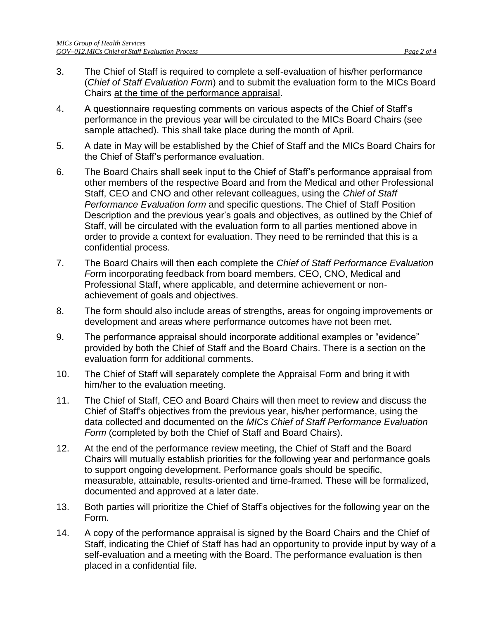- 3. The Chief of Staff is required to complete a self-evaluation of his/her performance (*Chief of Staff Evaluation Form*) and to submit the evaluation form to the MICs Board Chairs at the time of the performance appraisal.
- 4. A questionnaire requesting comments on various aspects of the Chief of Staff's performance in the previous year will be circulated to the MICs Board Chairs (see sample attached). This shall take place during the month of April.
- 5. A date in May will be established by the Chief of Staff and the MICs Board Chairs for the Chief of Staff's performance evaluation.
- 6. The Board Chairs shall seek input to the Chief of Staff's performance appraisal from other members of the respective Board and from the Medical and other Professional Staff, CEO and CNO and other relevant colleagues, using the *Chief of Staff Performance Evaluation form* and specific questions. The Chief of Staff Position Description and the previous year's goals and objectives, as outlined by the Chief of Staff, will be circulated with the evaluation form to all parties mentioned above in order to provide a context for evaluation. They need to be reminded that this is a confidential process.
- 7. The Board Chairs will then each complete the *Chief of Staff Performance Evaluation Fo*rm incorporating feedback from board members, CEO, CNO, Medical and Professional Staff, where applicable, and determine achievement or nonachievement of goals and objectives.
- 8. The form should also include areas of strengths, areas for ongoing improvements or development and areas where performance outcomes have not been met.
- 9. The performance appraisal should incorporate additional examples or "evidence" provided by both the Chief of Staff and the Board Chairs. There is a section on the evaluation form for additional comments.
- 10. The Chief of Staff will separately complete the Appraisal Form and bring it with him/her to the evaluation meeting.
- 11. The Chief of Staff, CEO and Board Chairs will then meet to review and discuss the Chief of Staff's objectives from the previous year, his/her performance, using the data collected and documented on the *MICs Chief of Staff Performance Evaluation*  Form (completed by both the Chief of Staff and Board Chairs).
- 12. At the end of the performance review meeting, the Chief of Staff and the Board Chairs will mutually establish priorities for the following year and performance goals to support ongoing development. Performance goals should be specific, measurable, attainable, results-oriented and time-framed. These will be formalized, documented and approved at a later date.
- 13. Both parties will prioritize the Chief of Staff's objectives for the following year on the Form.
- 14. A copy of the performance appraisal is signed by the Board Chairs and the Chief of Staff, indicating the Chief of Staff has had an opportunity to provide input by way of a self-evaluation and a meeting with the Board. The performance evaluation is then placed in a confidential file.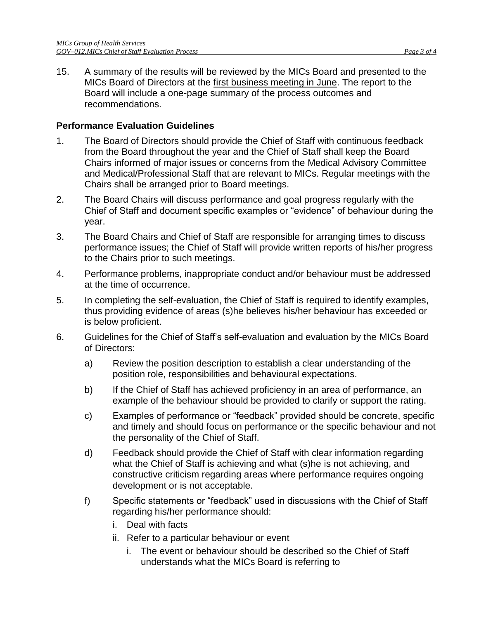15. A summary of the results will be reviewed by the MICs Board and presented to the MICs Board of Directors at the first business meeting in June. The report to the Board will include a one-page summary of the process outcomes and recommendations.

## **Performance Evaluation Guidelines**

- 1. The Board of Directors should provide the Chief of Staff with continuous feedback from the Board throughout the year and the Chief of Staff shall keep the Board Chairs informed of major issues or concerns from the Medical Advisory Committee and Medical/Professional Staff that are relevant to MICs. Regular meetings with the Chairs shall be arranged prior to Board meetings.
- 2. The Board Chairs will discuss performance and goal progress regularly with the Chief of Staff and document specific examples or "evidence" of behaviour during the year.
- 3. The Board Chairs and Chief of Staff are responsible for arranging times to discuss performance issues; the Chief of Staff will provide written reports of his/her progress to the Chairs prior to such meetings.
- 4. Performance problems, inappropriate conduct and/or behaviour must be addressed at the time of occurrence.
- 5. In completing the self-evaluation, the Chief of Staff is required to identify examples, thus providing evidence of areas (s)he believes his/her behaviour has exceeded or is below proficient.
- 6. Guidelines for the Chief of Staff's self-evaluation and evaluation by the MICs Board of Directors:
	- a) Review the position description to establish a clear understanding of the position role, responsibilities and behavioural expectations.
	- b) If the Chief of Staff has achieved proficiency in an area of performance, an example of the behaviour should be provided to clarify or support the rating.
	- c) Examples of performance or "feedback" provided should be concrete, specific and timely and should focus on performance or the specific behaviour and not the personality of the Chief of Staff.
	- d) Feedback should provide the Chief of Staff with clear information regarding what the Chief of Staff is achieving and what (s)he is not achieving, and constructive criticism regarding areas where performance requires ongoing development or is not acceptable.
	- f) Specific statements or "feedback" used in discussions with the Chief of Staff regarding his/her performance should:
		- i. Deal with facts
		- ii. Refer to a particular behaviour or event
			- i. The event or behaviour should be described so the Chief of Staff understands what the MICs Board is referring to